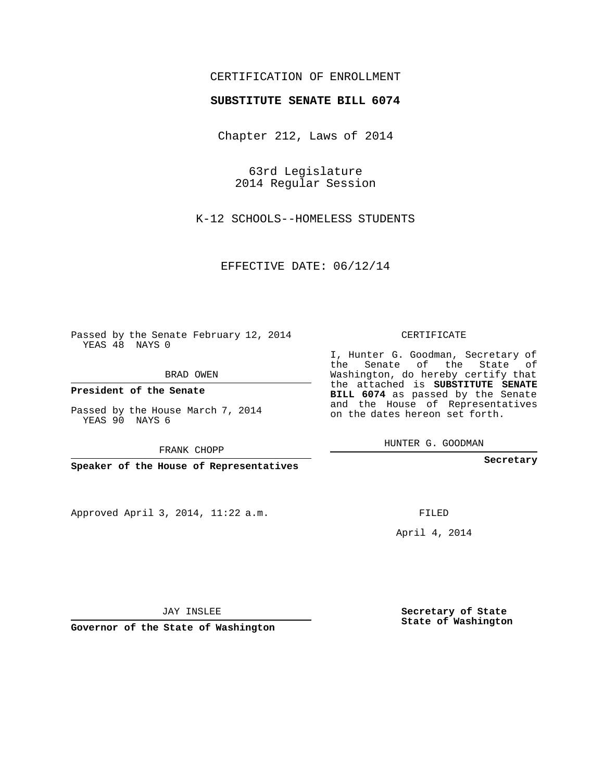## CERTIFICATION OF ENROLLMENT

## **SUBSTITUTE SENATE BILL 6074**

Chapter 212, Laws of 2014

63rd Legislature 2014 Regular Session

K-12 SCHOOLS--HOMELESS STUDENTS

EFFECTIVE DATE: 06/12/14

Passed by the Senate February 12, 2014 YEAS 48 NAYS 0

BRAD OWEN

**President of the Senate**

Passed by the House March 7, 2014 YEAS 90 NAYS 6

FRANK CHOPP

**Speaker of the House of Representatives**

Approved April 3, 2014, 11:22 a.m.

CERTIFICATE

I, Hunter G. Goodman, Secretary of the Senate of the State of Washington, do hereby certify that the attached is **SUBSTITUTE SENATE BILL 6074** as passed by the Senate and the House of Representatives on the dates hereon set forth.

HUNTER G. GOODMAN

**Secretary**

FILED

April 4, 2014

**Secretary of State State of Washington**

JAY INSLEE

**Governor of the State of Washington**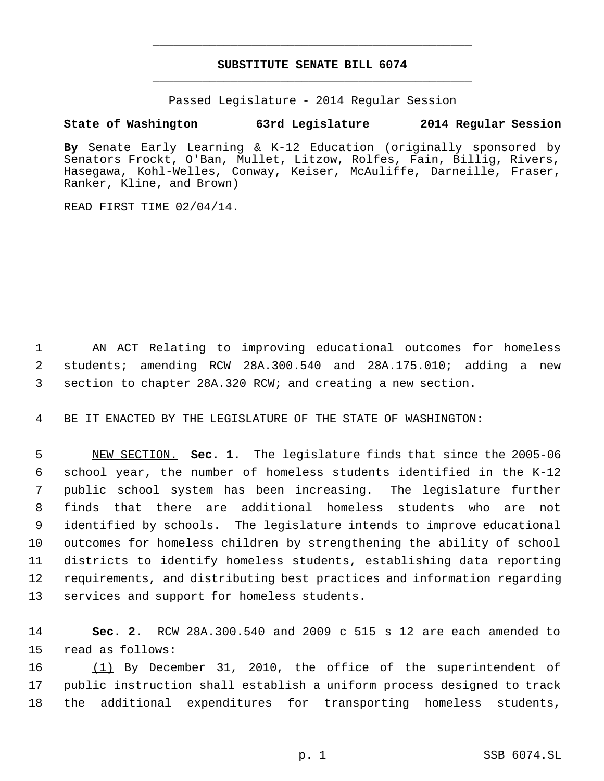## **SUBSTITUTE SENATE BILL 6074** \_\_\_\_\_\_\_\_\_\_\_\_\_\_\_\_\_\_\_\_\_\_\_\_\_\_\_\_\_\_\_\_\_\_\_\_\_\_\_\_\_\_\_\_\_

\_\_\_\_\_\_\_\_\_\_\_\_\_\_\_\_\_\_\_\_\_\_\_\_\_\_\_\_\_\_\_\_\_\_\_\_\_\_\_\_\_\_\_\_\_

Passed Legislature - 2014 Regular Session

## **State of Washington 63rd Legislature 2014 Regular Session**

**By** Senate Early Learning & K-12 Education (originally sponsored by Senators Frockt, O'Ban, Mullet, Litzow, Rolfes, Fain, Billig, Rivers, Hasegawa, Kohl-Welles, Conway, Keiser, McAuliffe, Darneille, Fraser, Ranker, Kline, and Brown)

READ FIRST TIME 02/04/14.

 AN ACT Relating to improving educational outcomes for homeless students; amending RCW 28A.300.540 and 28A.175.010; adding a new section to chapter 28A.320 RCW; and creating a new section.

BE IT ENACTED BY THE LEGISLATURE OF THE STATE OF WASHINGTON:

 NEW SECTION. **Sec. 1.** The legislature finds that since the 2005-06 school year, the number of homeless students identified in the K-12 public school system has been increasing. The legislature further finds that there are additional homeless students who are not identified by schools. The legislature intends to improve educational outcomes for homeless children by strengthening the ability of school districts to identify homeless students, establishing data reporting requirements, and distributing best practices and information regarding services and support for homeless students.

 **Sec. 2.** RCW 28A.300.540 and 2009 c 515 s 12 are each amended to read as follows:

 (1) By December 31, 2010, the office of the superintendent of public instruction shall establish a uniform process designed to track the additional expenditures for transporting homeless students,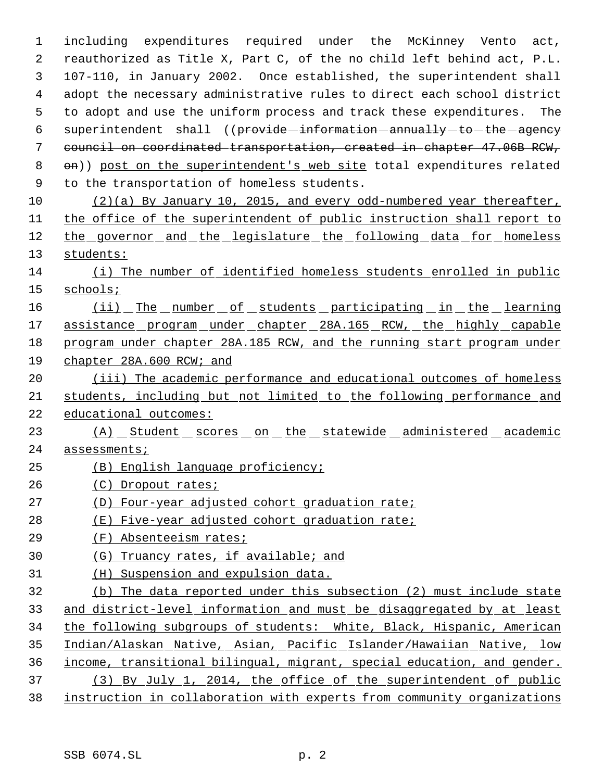including expenditures required under the McKinney Vento act, reauthorized as Title X, Part C, of the no child left behind act, P.L. 107-110, in January 2002. Once established, the superintendent shall adopt the necessary administrative rules to direct each school district to adopt and use the uniform process and track these expenditures. The 6 superintendent shall ((provide-information-annually-to-the-agency council on coordinated transportation, created in chapter 47.06B RCW, 8 on)) post on the superintendent's web site total expenditures related to the transportation of homeless students. (2)(a) By January 10, 2015, and every odd-numbered year thereafter, the office of the superintendent of public instruction shall report to 12 the governor and the legislature the following data for homeless students: (i) The number of identified homeless students enrolled in public schools; 16 (ii) The number of students participating in the learning 17 assistance program under chapter 28A.165 RCW, the highly capable program under chapter 28A.185 RCW, and the running start program under chapter 28A.600 RCW; and 20 (iii) The academic performance and educational outcomes of homeless students, including but not limited to the following performance and educational outcomes: 23 (A) Student scores on the statewide administered academic 24 assessments; (B) English language proficiency; (C) Dropout rates; (D) Four-year adjusted cohort graduation rate; (E) Five-year adjusted cohort graduation rate; (F) Absenteeism rates; (G) Truancy rates, if available; and (H) Suspension and expulsion data. (b) The data reported under this subsection (2) must include state and district-level information and must be disaggregated by at least the following subgroups of students: White, Black, Hispanic, American 35 Indian/Alaskan Native, Asian, Pacific Islander/Hawaiian Native, low income, transitional bilingual, migrant, special education, and gender. (3) By July 1, 2014, the office of the superintendent of public

instruction in collaboration with experts from community organizations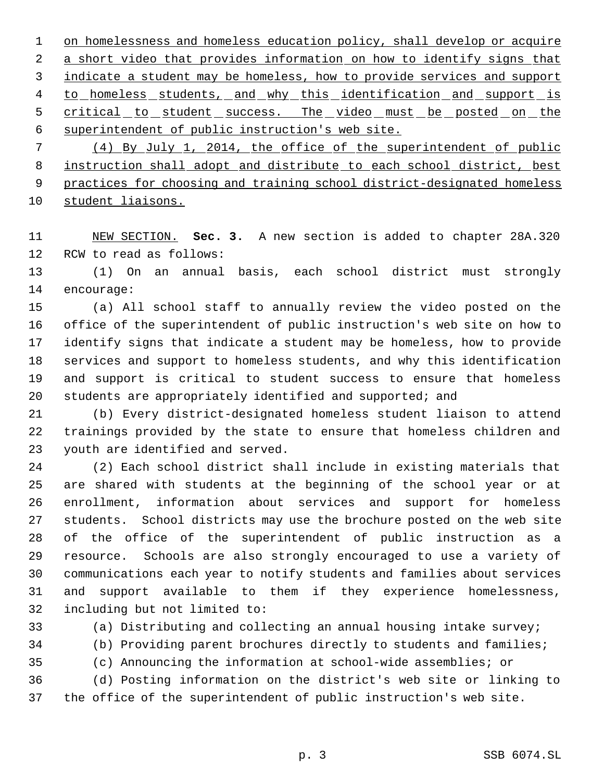1 on homelessness and homeless education policy, shall develop or acquire 2 a short video that provides information on how to identify signs that 3 indicate a student may be homeless, how to provide services and support 4 to homeless students, and why this identification and support is 5 critical to student success. The video must be posted on the superintendent of public instruction's web site.

 (4) By July 1, 2014, the office of the superintendent of public instruction shall adopt and distribute to each school district, best 9 practices for choosing and training school district-designated homeless 10 student liaisons.

 NEW SECTION. **Sec. 3.** A new section is added to chapter 28A.320 RCW to read as follows:

 (1) On an annual basis, each school district must strongly encourage:

 (a) All school staff to annually review the video posted on the office of the superintendent of public instruction's web site on how to identify signs that indicate a student may be homeless, how to provide services and support to homeless students, and why this identification and support is critical to student success to ensure that homeless students are appropriately identified and supported; and

 (b) Every district-designated homeless student liaison to attend trainings provided by the state to ensure that homeless children and youth are identified and served.

 (2) Each school district shall include in existing materials that are shared with students at the beginning of the school year or at enrollment, information about services and support for homeless students. School districts may use the brochure posted on the web site of the office of the superintendent of public instruction as a resource. Schools are also strongly encouraged to use a variety of communications each year to notify students and families about services and support available to them if they experience homelessness, including but not limited to:

(a) Distributing and collecting an annual housing intake survey;

(b) Providing parent brochures directly to students and families;

(c) Announcing the information at school-wide assemblies; or

 (d) Posting information on the district's web site or linking to the office of the superintendent of public instruction's web site.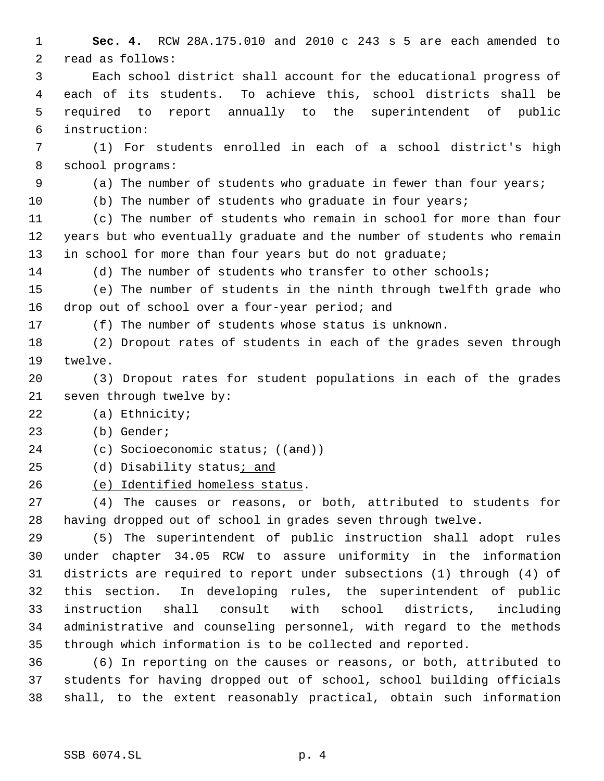**Sec. 4.** RCW 28A.175.010 and 2010 c 243 s 5 are each amended to read as follows: Each school district shall account for the educational progress of each of its students. To achieve this, school districts shall be required to report annually to the superintendent of public instruction: (1) For students enrolled in each of a school district's high school programs: (a) The number of students who graduate in fewer than four years; (b) The number of students who graduate in four years; (c) The number of students who remain in school for more than four years but who eventually graduate and the number of students who remain 13 in school for more than four years but do not graduate; (d) The number of students who transfer to other schools; (e) The number of students in the ninth through twelfth grade who drop out of school over a four-year period; and (f) The number of students whose status is unknown. (2) Dropout rates of students in each of the grades seven through twelve. (3) Dropout rates for student populations in each of the grades seven through twelve by: (a) Ethnicity; (b) Gender; 24 (c) Socioeconomic status; ((and)) (d) Disability status; and (e) Identified homeless status. (4) The causes or reasons, or both, attributed to students for having dropped out of school in grades seven through twelve. (5) The superintendent of public instruction shall adopt rules under chapter 34.05 RCW to assure uniformity in the information districts are required to report under subsections (1) through (4) of this section. In developing rules, the superintendent of public instruction shall consult with school districts, including administrative and counseling personnel, with regard to the methods through which information is to be collected and reported. (6) In reporting on the causes or reasons, or both, attributed to students for having dropped out of school, school building officials

shall, to the extent reasonably practical, obtain such information